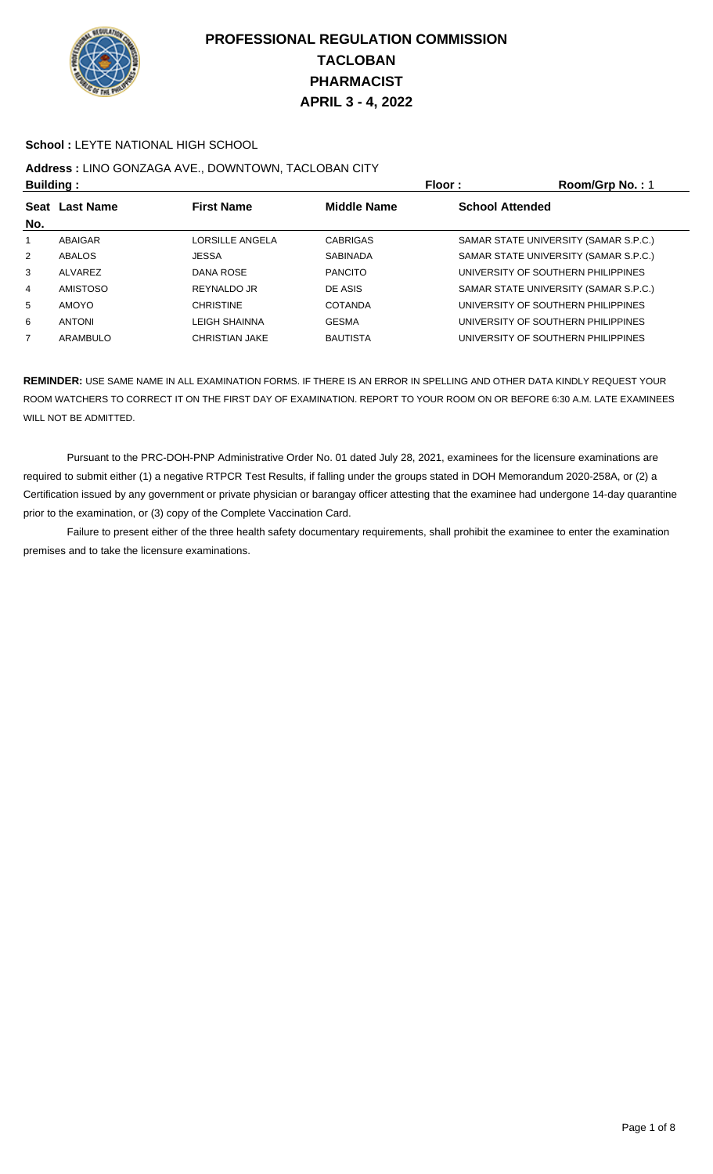

#### **School :** LEYTE NATIONAL HIGH SCHOOL

# **Address :** LINO GONZAGA AVE., DOWNTOWN, TACLOBAN CITY

| <b>Building:</b>                    |                 |                       | Floor:<br>Room/Grp No.: 1 |                                       |  |
|-------------------------------------|-----------------|-----------------------|---------------------------|---------------------------------------|--|
| Seat Last Name<br><b>First Name</b> |                 | <b>Middle Name</b>    | <b>School Attended</b>    |                                       |  |
| No.                                 |                 |                       |                           |                                       |  |
| $\mathbf{1}$                        | ABAIGAR         | LORSILLE ANGELA       | <b>CABRIGAS</b>           | SAMAR STATE UNIVERSITY (SAMAR S.P.C.) |  |
| $\overline{2}$                      | ABALOS          | <b>JESSA</b>          | <b>SABINADA</b>           | SAMAR STATE UNIVERSITY (SAMAR S.P.C.) |  |
| 3                                   | ALVAREZ         | <b>DANA ROSE</b>      | <b>PANCITO</b>            | UNIVERSITY OF SOUTHERN PHILIPPINES    |  |
| 4                                   | <b>AMISTOSO</b> | REYNALDO JR           | DE ASIS                   | SAMAR STATE UNIVERSITY (SAMAR S.P.C.) |  |
| 5                                   | <b>AMOYO</b>    | <b>CHRISTINE</b>      | <b>COTANDA</b>            | UNIVERSITY OF SOUTHERN PHILIPPINES    |  |
| 6                                   | <b>ANTONI</b>   | <b>LEIGH SHAINNA</b>  | <b>GESMA</b>              | UNIVERSITY OF SOUTHERN PHILIPPINES    |  |
| $\overline{7}$                      | ARAMBULO        | <b>CHRISTIAN JAKE</b> | <b>BAUTISTA</b>           | UNIVERSITY OF SOUTHERN PHILIPPINES    |  |

**REMINDER:** USE SAME NAME IN ALL EXAMINATION FORMS. IF THERE IS AN ERROR IN SPELLING AND OTHER DATA KINDLY REQUEST YOUR ROOM WATCHERS TO CORRECT IT ON THE FIRST DAY OF EXAMINATION. REPORT TO YOUR ROOM ON OR BEFORE 6:30 A.M. LATE EXAMINEES WILL NOT BE ADMITTED.

 Pursuant to the PRC-DOH-PNP Administrative Order No. 01 dated July 28, 2021, examinees for the licensure examinations are required to submit either (1) a negative RTPCR Test Results, if falling under the groups stated in DOH Memorandum 2020-258A, or (2) a Certification issued by any government or private physician or barangay officer attesting that the examinee had undergone 14-day quarantine prior to the examination, or (3) copy of the Complete Vaccination Card.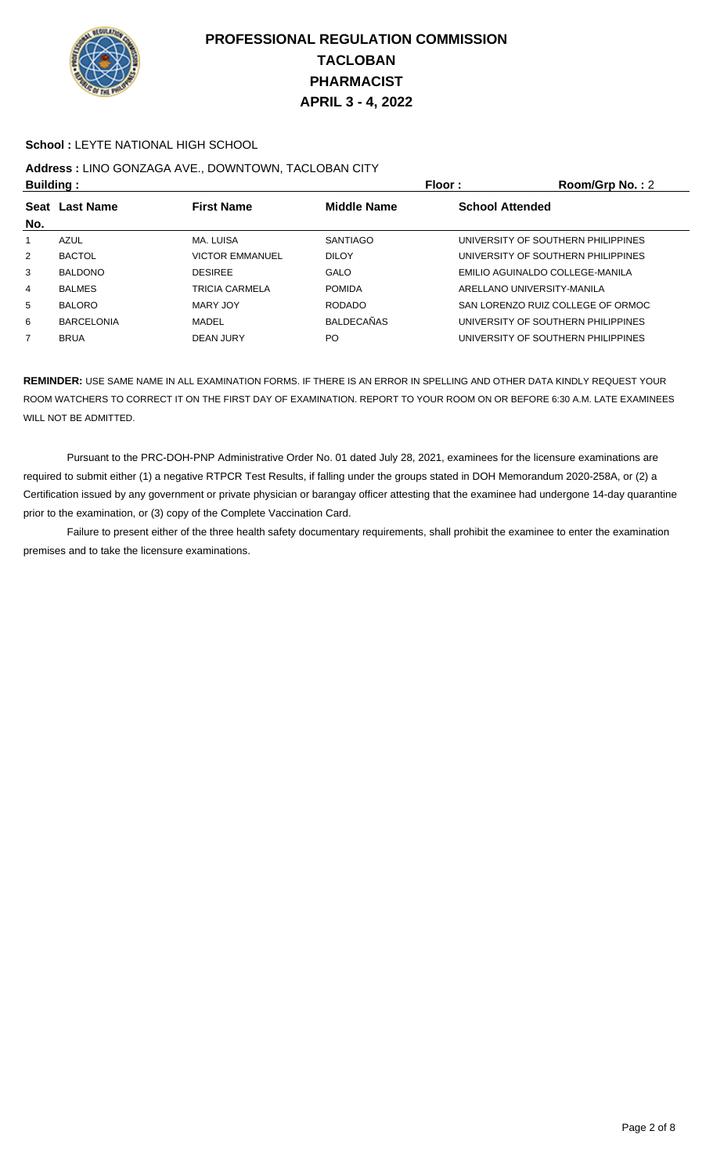

#### **School :** LEYTE NATIONAL HIGH SCHOOL

## **Address :** LINO GONZAGA AVE., DOWNTOWN, TACLOBAN CITY

| <b>Building:</b>                    |                        | Floor:             | Room/Grp No.: 2                    |
|-------------------------------------|------------------------|--------------------|------------------------------------|
| <b>First Name</b><br>Seat Last Name |                        | <b>Middle Name</b> | <b>School Attended</b>             |
|                                     |                        |                    |                                    |
| AZUL                                | MA. LUISA              | <b>SANTIAGO</b>    | UNIVERSITY OF SOUTHERN PHILIPPINES |
| <b>BACTOL</b>                       | <b>VICTOR EMMANUEL</b> | <b>DILOY</b>       | UNIVERSITY OF SOUTHERN PHILIPPINES |
| <b>BALDONO</b>                      | <b>DESIREE</b>         | <b>GALO</b>        | EMILIO AGUINALDO COLLEGE-MANILA    |
| <b>BALMES</b>                       | TRICIA CARMELA         | <b>POMIDA</b>      | ARELLANO UNIVERSITY-MANILA         |
| <b>BALORO</b>                       | MARY JOY               | <b>RODADO</b>      | SAN LORENZO RUIZ COLLEGE OF ORMOC  |
| <b>BARCELONIA</b>                   | MADEL                  | <b>BALDECAÑAS</b>  | UNIVERSITY OF SOUTHERN PHILIPPINES |
| <b>BRUA</b>                         | DEAN JURY              | PO                 | UNIVERSITY OF SOUTHERN PHILIPPINES |
|                                     |                        |                    |                                    |

**REMINDER:** USE SAME NAME IN ALL EXAMINATION FORMS. IF THERE IS AN ERROR IN SPELLING AND OTHER DATA KINDLY REQUEST YOUR ROOM WATCHERS TO CORRECT IT ON THE FIRST DAY OF EXAMINATION. REPORT TO YOUR ROOM ON OR BEFORE 6:30 A.M. LATE EXAMINEES WILL NOT BE ADMITTED.

 Pursuant to the PRC-DOH-PNP Administrative Order No. 01 dated July 28, 2021, examinees for the licensure examinations are required to submit either (1) a negative RTPCR Test Results, if falling under the groups stated in DOH Memorandum 2020-258A, or (2) a Certification issued by any government or private physician or barangay officer attesting that the examinee had undergone 14-day quarantine prior to the examination, or (3) copy of the Complete Vaccination Card.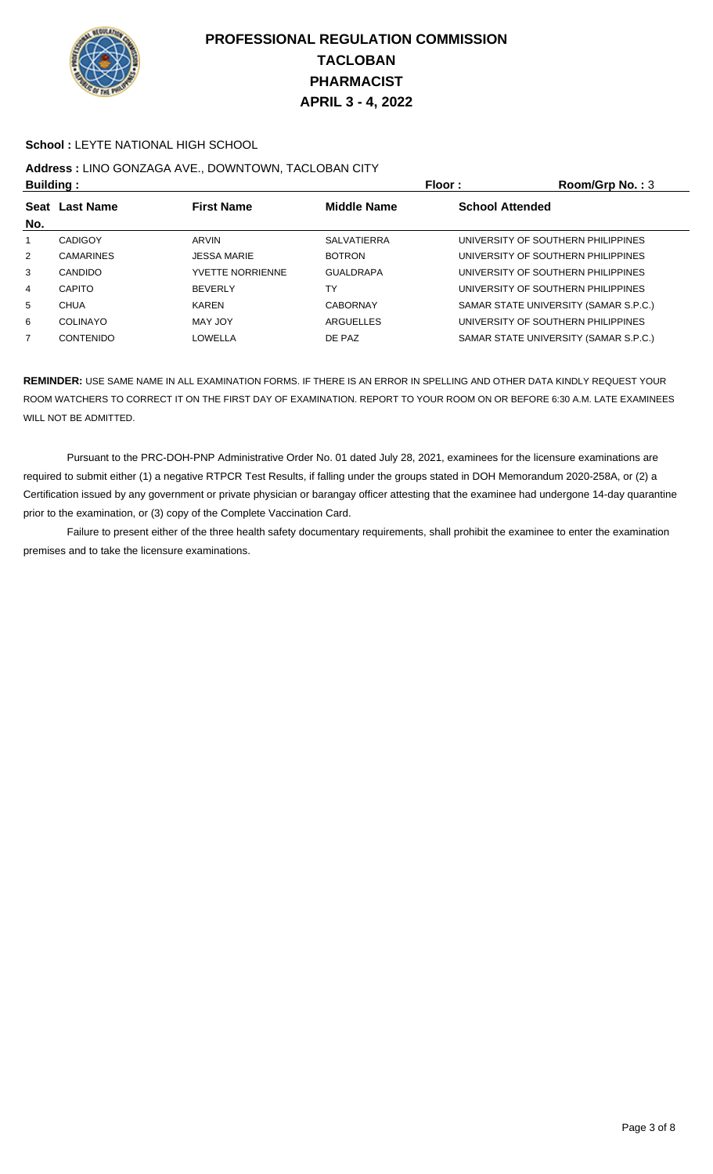

#### **School :** LEYTE NATIONAL HIGH SCHOOL

## **Address :** LINO GONZAGA AVE., DOWNTOWN, TACLOBAN CITY

| <b>Building:</b>                    |                         | Floor:             | Room/Grp No.: 3                       |
|-------------------------------------|-------------------------|--------------------|---------------------------------------|
| <b>First Name</b><br>Seat Last Name |                         | <b>Middle Name</b> | <b>School Attended</b>                |
|                                     |                         |                    |                                       |
| <b>CADIGOY</b>                      | ARVIN                   | <b>SALVATIERRA</b> | UNIVERSITY OF SOUTHERN PHILIPPINES    |
| <b>CAMARINES</b>                    | <b>JESSA MARIE</b>      | <b>BOTRON</b>      | UNIVERSITY OF SOUTHERN PHILIPPINES    |
| <b>CANDIDO</b>                      | <b>YVETTE NORRIENNE</b> | <b>GUALDRAPA</b>   | UNIVERSITY OF SOUTHERN PHILIPPINES    |
| <b>CAPITO</b>                       | <b>BEVERLY</b>          | TY                 | UNIVERSITY OF SOUTHERN PHILIPPINES    |
| <b>CHUA</b>                         | <b>KAREN</b>            | <b>CABORNAY</b>    | SAMAR STATE UNIVERSITY (SAMAR S.P.C.) |
| COLINAYO                            | MAY JOY                 | ARGUELLES          | UNIVERSITY OF SOUTHERN PHILIPPINES    |
| CONTENIDO                           | LOWELLA                 | DE PAZ             | SAMAR STATE UNIVERSITY (SAMAR S.P.C.) |
|                                     |                         |                    |                                       |

**REMINDER:** USE SAME NAME IN ALL EXAMINATION FORMS. IF THERE IS AN ERROR IN SPELLING AND OTHER DATA KINDLY REQUEST YOUR ROOM WATCHERS TO CORRECT IT ON THE FIRST DAY OF EXAMINATION. REPORT TO YOUR ROOM ON OR BEFORE 6:30 A.M. LATE EXAMINEES WILL NOT BE ADMITTED.

 Pursuant to the PRC-DOH-PNP Administrative Order No. 01 dated July 28, 2021, examinees for the licensure examinations are required to submit either (1) a negative RTPCR Test Results, if falling under the groups stated in DOH Memorandum 2020-258A, or (2) a Certification issued by any government or private physician or barangay officer attesting that the examinee had undergone 14-day quarantine prior to the examination, or (3) copy of the Complete Vaccination Card.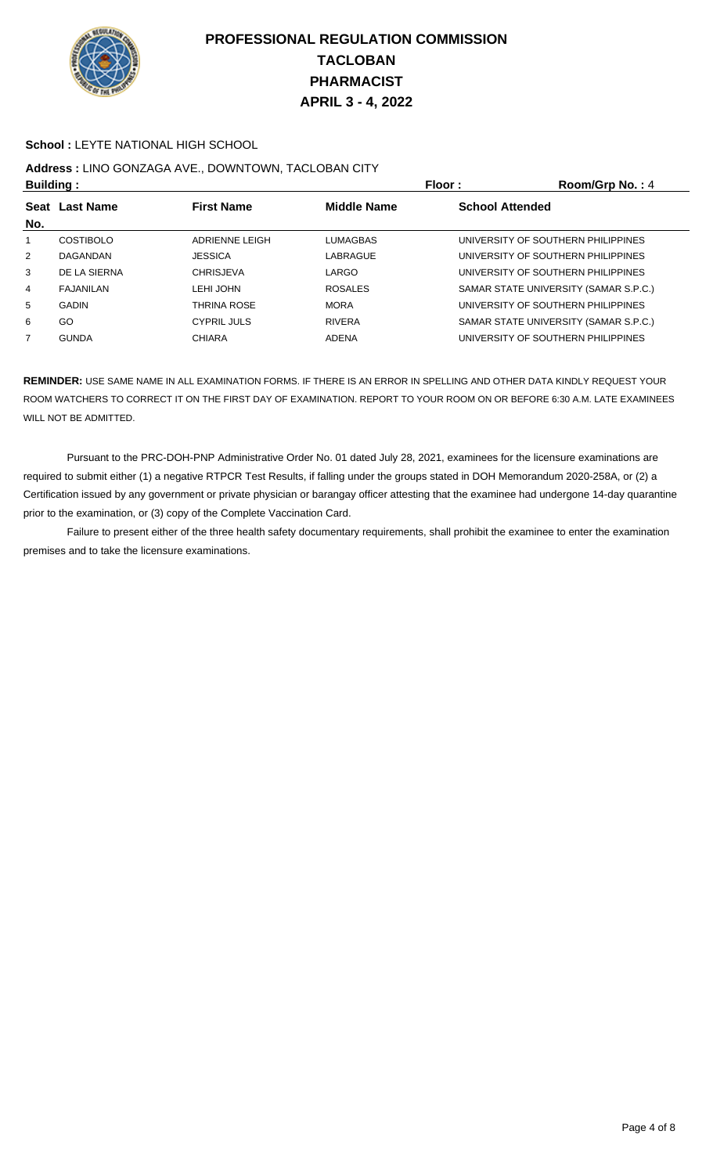

#### **School :** LEYTE NATIONAL HIGH SCHOOL

## **Address :** LINO GONZAGA AVE., DOWNTOWN, TACLOBAN CITY

| <b>Building:</b> |                  | Floor:             | Room/Grp No.: 4 |                                       |
|------------------|------------------|--------------------|-----------------|---------------------------------------|
| Seat Last Name   |                  | <b>First Name</b>  | Middle Name     | <b>School Attended</b>                |
| No.              |                  |                    |                 |                                       |
| 1                | <b>COSTIBOLO</b> | ADRIENNE LEIGH     | LUMAGBAS        | UNIVERSITY OF SOUTHERN PHILIPPINES    |
| $\overline{2}$   | DAGANDAN         | <b>JESSICA</b>     | LABRAGUE        | UNIVERSITY OF SOUTHERN PHILIPPINES    |
| 3                | DE LA SIERNA     | <b>CHRISJEVA</b>   | LARGO           | UNIVERSITY OF SOUTHERN PHILIPPINES    |
| 4                | FAJANILAN        | LEHI JOHN          | <b>ROSALES</b>  | SAMAR STATE UNIVERSITY (SAMAR S.P.C.) |
| 5                | <b>GADIN</b>     | <b>THRINA ROSE</b> | <b>MORA</b>     | UNIVERSITY OF SOUTHERN PHILIPPINES    |
| 6                | GO               | <b>CYPRIL JULS</b> | <b>RIVERA</b>   | SAMAR STATE UNIVERSITY (SAMAR S.P.C.) |
| 7                | <b>GUNDA</b>     | <b>CHIARA</b>      | ADENA           | UNIVERSITY OF SOUTHERN PHILIPPINES    |

**REMINDER:** USE SAME NAME IN ALL EXAMINATION FORMS. IF THERE IS AN ERROR IN SPELLING AND OTHER DATA KINDLY REQUEST YOUR ROOM WATCHERS TO CORRECT IT ON THE FIRST DAY OF EXAMINATION. REPORT TO YOUR ROOM ON OR BEFORE 6:30 A.M. LATE EXAMINEES WILL NOT BE ADMITTED.

 Pursuant to the PRC-DOH-PNP Administrative Order No. 01 dated July 28, 2021, examinees for the licensure examinations are required to submit either (1) a negative RTPCR Test Results, if falling under the groups stated in DOH Memorandum 2020-258A, or (2) a Certification issued by any government or private physician or barangay officer attesting that the examinee had undergone 14-day quarantine prior to the examination, or (3) copy of the Complete Vaccination Card.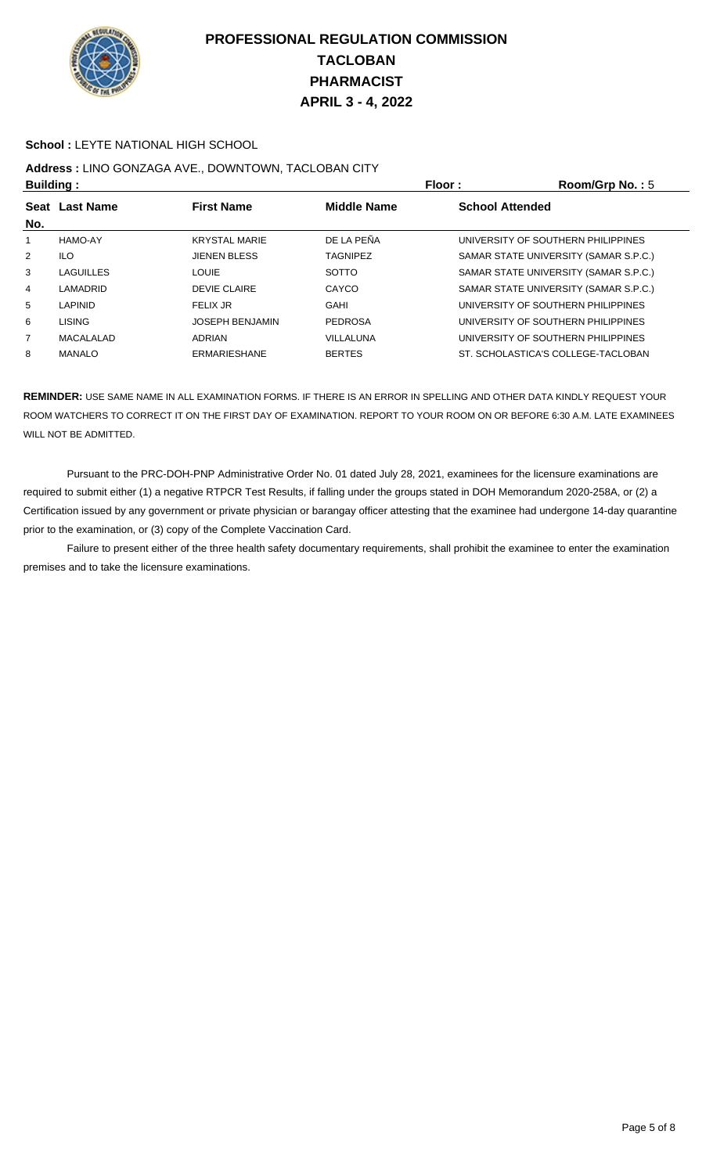

#### **School :** LEYTE NATIONAL HIGH SCHOOL

## **Address :** LINO GONZAGA AVE., DOWNTOWN, TACLOBAN CITY

| <b>Building:</b>   |                  |                        | Floor:             | Room/Grp No.: 5                       |
|--------------------|------------------|------------------------|--------------------|---------------------------------------|
| <b>Seat</b><br>No. | <b>Last Name</b> | <b>First Name</b>      | <b>Middle Name</b> | <b>School Attended</b>                |
| 1                  | HAMO-AY          | <b>KRYSTAL MARIE</b>   | DE LA PEÑA         | UNIVERSITY OF SOUTHERN PHILIPPINES    |
| $\overline{2}$     | <b>ILO</b>       | <b>JIENEN BLESS</b>    | <b>TAGNIPEZ</b>    | SAMAR STATE UNIVERSITY (SAMAR S.P.C.) |
| 3                  | <b>LAGUILLES</b> | LOUIE                  | <b>SOTTO</b>       | SAMAR STATE UNIVERSITY (SAMAR S.P.C.) |
| 4                  | LAMADRID         | <b>DEVIE CLAIRE</b>    | CAYCO              | SAMAR STATE UNIVERSITY (SAMAR S.P.C.) |
| 5                  | <b>LAPINID</b>   | FELIX JR               | <b>GAHI</b>        | UNIVERSITY OF SOUTHERN PHILIPPINES    |
| 6                  | <b>LISING</b>    | <b>JOSEPH BENJAMIN</b> | <b>PEDROSA</b>     | UNIVERSITY OF SOUTHERN PHILIPPINES    |
| $\overline{7}$     | MACALALAD        | <b>ADRIAN</b>          | VILLALUNA          | UNIVERSITY OF SOUTHERN PHILIPPINES    |
| 8                  | MANALO           | <b>ERMARIESHANE</b>    | <b>BERTES</b>      | ST. SCHOLASTICA'S COLLEGE-TACLOBAN    |

**REMINDER:** USE SAME NAME IN ALL EXAMINATION FORMS. IF THERE IS AN ERROR IN SPELLING AND OTHER DATA KINDLY REQUEST YOUR ROOM WATCHERS TO CORRECT IT ON THE FIRST DAY OF EXAMINATION. REPORT TO YOUR ROOM ON OR BEFORE 6:30 A.M. LATE EXAMINEES WILL NOT BE ADMITTED.

 Pursuant to the PRC-DOH-PNP Administrative Order No. 01 dated July 28, 2021, examinees for the licensure examinations are required to submit either (1) a negative RTPCR Test Results, if falling under the groups stated in DOH Memorandum 2020-258A, or (2) a Certification issued by any government or private physician or barangay officer attesting that the examinee had undergone 14-day quarantine prior to the examination, or (3) copy of the Complete Vaccination Card.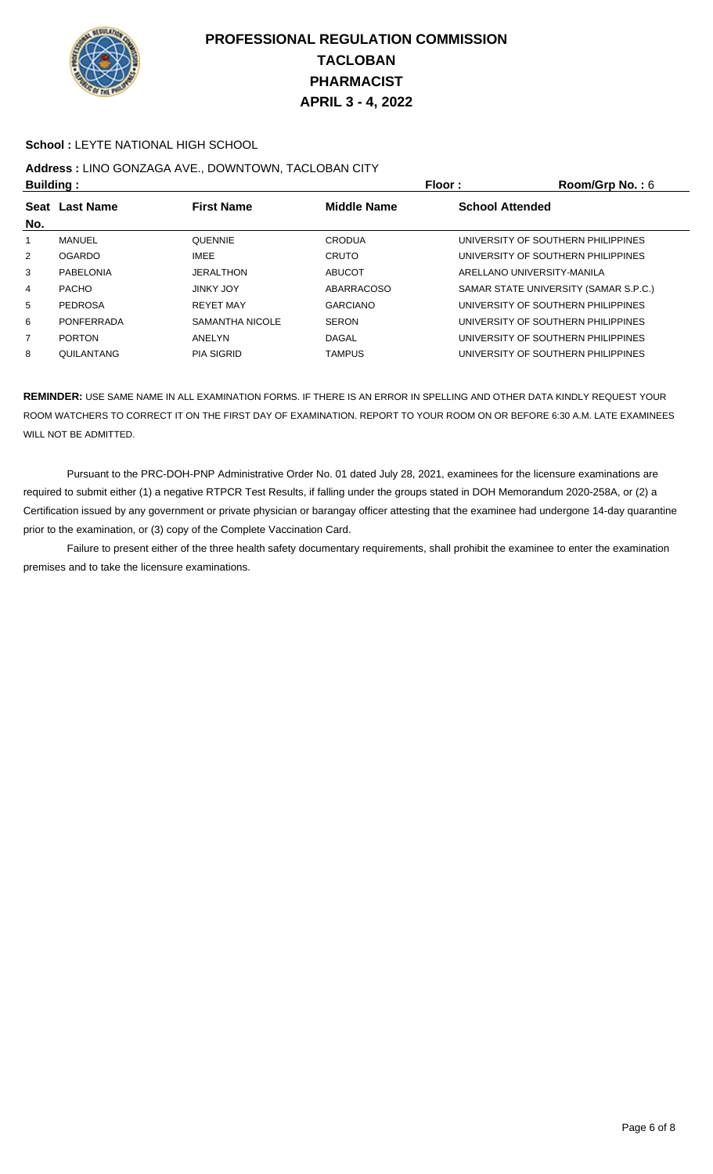

#### **School :** LEYTE NATIONAL HIGH SCHOOL

## **Address :** LINO GONZAGA AVE., DOWNTOWN, TACLOBAN CITY

| <b>Building:</b>   |                   |                   | Floor:             | Room/Grp No.: 6                       |
|--------------------|-------------------|-------------------|--------------------|---------------------------------------|
| <b>Seat</b><br>No. | <b>Last Name</b>  | <b>First Name</b> | <b>Middle Name</b> | <b>School Attended</b>                |
| 1.                 | MANUEL            | <b>QUENNIE</b>    | <b>CRODUA</b>      | UNIVERSITY OF SOUTHERN PHILIPPINES    |
| $\overline{2}$     | <b>OGARDO</b>     | <b>IMEE</b>       | <b>CRUTO</b>       | UNIVERSITY OF SOUTHERN PHILIPPINES    |
| 3                  | PABELONIA         | <b>JERALTHON</b>  | <b>ABUCOT</b>      | ARELLANO UNIVERSITY-MANILA            |
| 4                  | <b>PACHO</b>      | <b>JINKY JOY</b>  | <b>ABARRACOSO</b>  | SAMAR STATE UNIVERSITY (SAMAR S.P.C.) |
| 5                  | <b>PEDROSA</b>    | <b>REYET MAY</b>  | <b>GARCIANO</b>    | UNIVERSITY OF SOUTHERN PHILIPPINES    |
| 6                  | PONFERRADA        | SAMANTHA NICOLE   | <b>SERON</b>       | UNIVERSITY OF SOUTHERN PHILIPPINES    |
| $\overline{7}$     | <b>PORTON</b>     | ANELYN            | DAGAL              | UNIVERSITY OF SOUTHERN PHILIPPINES    |
| 8                  | <b>QUILANTANG</b> | <b>PIA SIGRID</b> | <b>TAMPUS</b>      | UNIVERSITY OF SOUTHERN PHILIPPINES    |

**REMINDER:** USE SAME NAME IN ALL EXAMINATION FORMS. IF THERE IS AN ERROR IN SPELLING AND OTHER DATA KINDLY REQUEST YOUR ROOM WATCHERS TO CORRECT IT ON THE FIRST DAY OF EXAMINATION. REPORT TO YOUR ROOM ON OR BEFORE 6:30 A.M. LATE EXAMINEES WILL NOT BE ADMITTED.

 Pursuant to the PRC-DOH-PNP Administrative Order No. 01 dated July 28, 2021, examinees for the licensure examinations are required to submit either (1) a negative RTPCR Test Results, if falling under the groups stated in DOH Memorandum 2020-258A, or (2) a Certification issued by any government or private physician or barangay officer attesting that the examinee had undergone 14-day quarantine prior to the examination, or (3) copy of the Complete Vaccination Card.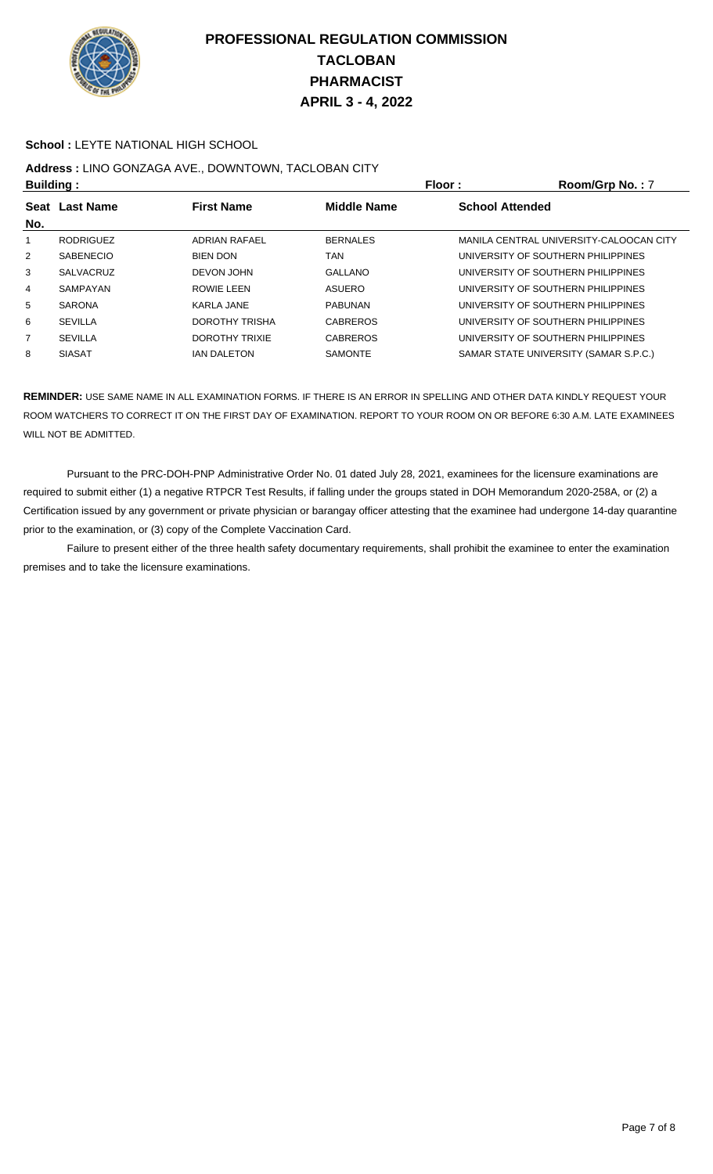

#### **School :** LEYTE NATIONAL HIGH SCHOOL

# **Address :** LINO GONZAGA AVE., DOWNTOWN, TACLOBAN CITY

| <b>Building:</b> |                  | Floor:                | Room/Grp No.: 7    |                                         |
|------------------|------------------|-----------------------|--------------------|-----------------------------------------|
| Seat<br>No.      | <b>Last Name</b> | <b>First Name</b>     | <b>Middle Name</b> | <b>School Attended</b>                  |
|                  | <b>RODRIGUEZ</b> | <b>ADRIAN RAFAEL</b>  | <b>BERNALES</b>    | MANILA CENTRAL UNIVERSITY-CALOOCAN CITY |
| $\overline{2}$   | <b>SABENECIO</b> | <b>BIEN DON</b>       | TAN                | UNIVERSITY OF SOUTHERN PHILIPPINES      |
| 3                | SALVACRUZ        | DEVON JOHN            | <b>GALLANO</b>     | UNIVERSITY OF SOUTHERN PHILIPPINES      |
| 4                | SAMPAYAN         | ROWIE LEEN            | <b>ASUERO</b>      | UNIVERSITY OF SOUTHERN PHILIPPINES      |
| 5                | <b>SARONA</b>    | KARLA JANE            | <b>PABUNAN</b>     | UNIVERSITY OF SOUTHERN PHILIPPINES      |
| 6                | <b>SEVILLA</b>   | DOROTHY TRISHA        | <b>CABREROS</b>    | UNIVERSITY OF SOUTHERN PHILIPPINES      |
| 7                | <b>SEVILLA</b>   | <b>DOROTHY TRIXIE</b> | <b>CABREROS</b>    | UNIVERSITY OF SOUTHERN PHILIPPINES      |
| 8                | <b>SIASAT</b>    | <b>IAN DALETON</b>    | <b>SAMONTE</b>     | SAMAR STATE UNIVERSITY (SAMAR S.P.C.)   |

**REMINDER:** USE SAME NAME IN ALL EXAMINATION FORMS. IF THERE IS AN ERROR IN SPELLING AND OTHER DATA KINDLY REQUEST YOUR ROOM WATCHERS TO CORRECT IT ON THE FIRST DAY OF EXAMINATION. REPORT TO YOUR ROOM ON OR BEFORE 6:30 A.M. LATE EXAMINEES WILL NOT BE ADMITTED.

 Pursuant to the PRC-DOH-PNP Administrative Order No. 01 dated July 28, 2021, examinees for the licensure examinations are required to submit either (1) a negative RTPCR Test Results, if falling under the groups stated in DOH Memorandum 2020-258A, or (2) a Certification issued by any government or private physician or barangay officer attesting that the examinee had undergone 14-day quarantine prior to the examination, or (3) copy of the Complete Vaccination Card.